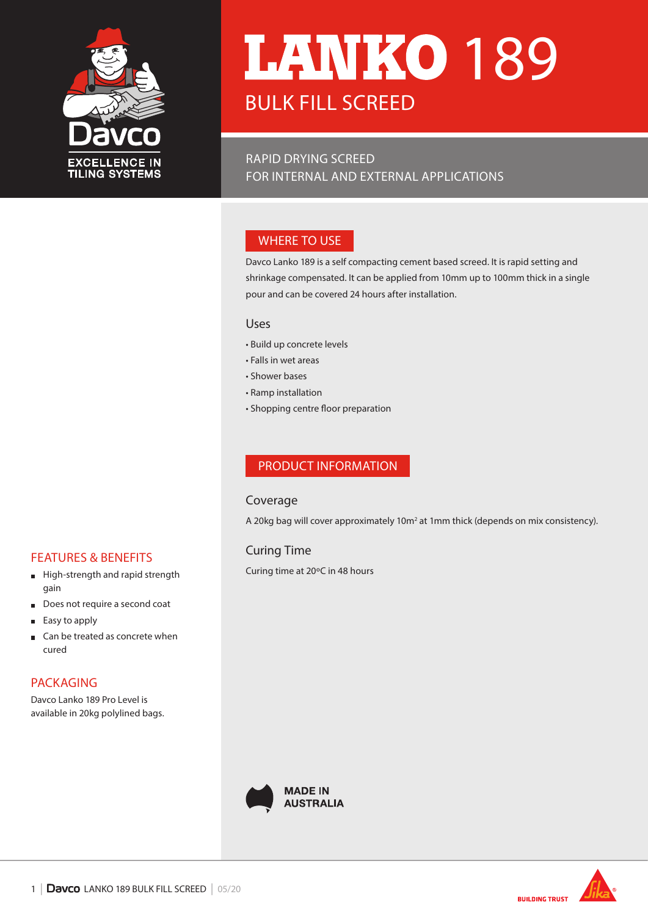

# BULK FILL SCREED **LANKO 189**

RAPID DRYING SCREED FOR INTERNAL AND EXTERNAL APPLICATIONS

# WHERE TO USE

Davco Lanko 189 is a self compacting cement based screed. It is rapid setting and shrinkage compensated. It can be applied from 10mm up to 100mm thick in a single pour and can be covered 24 hours after installation.

## Uses

- Build up concrete levels
- Falls in wet areas
- Shower bases
- Ramp installation
- Shopping centre floor preparation

# PRODUCT INFORMATION

# Coverage

A 20kg bag will cover approximately 10 $m<sup>2</sup>$  at 1mm thick (depends on mix consistency).

Curing Time

Curing time at 20ºC in 48 hours





# FEATURES & BENEFITS

- $\blacksquare$ High-strength and rapid strength gain
- Does not require a second coat  $\blacksquare$
- Easy to apply  $\blacksquare$
- Can be treated as concrete when Ē cured

# PACKAGING

Davco Lanko 189 Pro Level is available in 20kg polylined bags.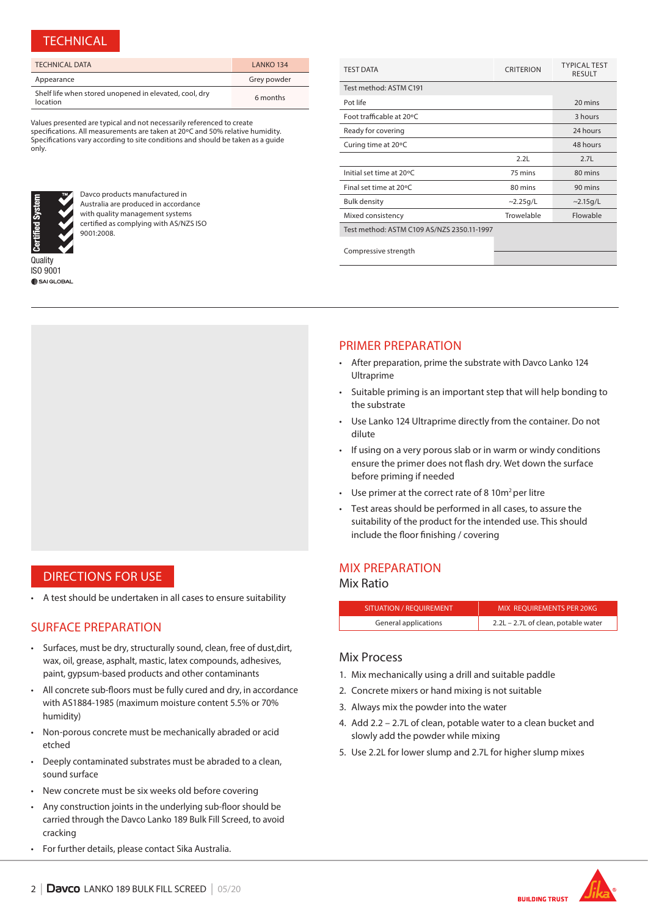## **TECHNICAL**

| <b>TECHNICAL DATA</b>                                              | LANKO 134   |
|--------------------------------------------------------------------|-------------|
| Appearance                                                         | Grey powder |
| Shelf life when stored unopened in elevated, cool, dry<br>location | 6 months    |

Values presented are typical and not necessarily referenced to create specifications. All measurements are taken at 20ºC and 50% relative humidity. Specifications vary according to site conditions and should be taken as a guide only.



Davco products manufactured in Australia are produced in accordance with quality management systems certified as complying with AS/NZS ISO 9001:2008.

**Quality** ISO 9001

| <b>TEST DATA</b>                           | <b>CRITERION</b> | <b>TYPICAI TFST</b><br><b>RESULT</b> |
|--------------------------------------------|------------------|--------------------------------------|
| Test method: ASTM C191                     |                  |                                      |
| Pot life                                   |                  | 20 mins                              |
| Foot trafficable at 20°C                   |                  | 3 hours                              |
| Ready for covering                         |                  | 24 hours                             |
| Curing time at 20°C                        |                  | 48 hours                             |
|                                            | 2.2L             | 2.7L                                 |
| Initial set time at 20°C                   | 75 mins          | 80 mins                              |
| Final set time at 20°C                     | 80 mins          | 90 mins                              |
| <b>Bulk density</b>                        | $\sim$ 2.25g/L   | $\sim$ 2.15g/L                       |
| Mixed consistency                          | Trowelable       | Flowable                             |
| Test method: ASTM C109 AS/NZS 2350.11-1997 |                  |                                      |
| Compressive strength                       |                  |                                      |

# PRIMER PREPARATION

- After preparation, prime the substrate with Davco Lanko 124 Ultraprime
- Suitable priming is an important step that will help bonding to the substrate
- Use Lanko 124 Ultraprime directly from the container. Do not dilute
- If using on a very porous slab or in warm or windy conditions ensure the primer does not flash dry. Wet down the surface before priming if needed
- Use primer at the correct rate of 8 10m<sup>2</sup> per litre
- Test areas should be performed in all cases, to assure the suitability of the product for the intended use. This should include the floor finishing / covering

# MIX PREPARATION

#### Mix Ratio

| SITUATION / REOUIREMENT | MIX REOUIREMENTS PER 20KG           |
|-------------------------|-------------------------------------|
| General applications    | 2.2L - 2.7L of clean, potable water |

# Mix Process

- 1. Mix mechanically using a drill and suitable paddle
- 2. Concrete mixers or hand mixing is not suitable
- 3. Always mix the powder into the water
- 4. Add 2.2 2.7L of clean, potable water to a clean bucket and slowly add the powder while mixing
- 5. Use 2.2L for lower slump and 2.7L for higher slump mixes



# DIRECTIONS FOR USE

• A test should be undertaken in all cases to ensure suitability

# SURFACE PREPARATION

- Surfaces, must be dry, structurally sound, clean, free of dust,dirt, wax, oil, grease, asphalt, mastic, latex compounds, adhesives, paint, gypsum-based products and other contaminants
- All concrete sub-floors must be fully cured and dry, in accordance with AS1884-1985 (maximum moisture content 5.5% or 70% humidity)
- Non-porous concrete must be mechanically abraded or acid etched
- Deeply contaminated substrates must be abraded to a clean, sound surface
- New concrete must be six weeks old before covering
- Any construction joints in the underlying sub-floor should be carried through the Davco Lanko 189 Bulk Fill Screed, to avoid cracking
- For further details, please contact Sika Australia.